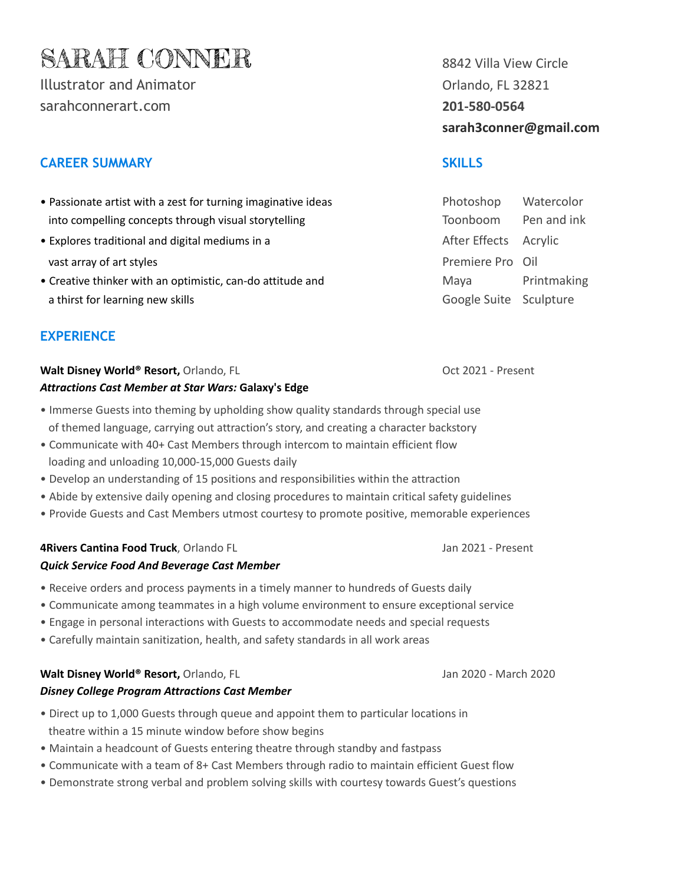# SARAH CONNER 8842 Villa View Circle

Illustrator and Animator **Contract Contract Contract Contract Contract Contract Contract Contract Contract Contract Contract Contract Contract Contract Contract Contract Contract Contract Contract Contract Contract Contrac** [sarahconnerart.com](https://www.sarahconnerart.com/) **201-580-0564**

# **CAREER SUMMARY SKILLS**

- Passionate artist with a zest for turning imaginative ideas into compelling concepts through visual storytelling
- Explores traditional and digital mediums in a vast array of art styles
- Creative thinker with an optimistic, can-do attitude and a thirst for learning new skills Google Suite Sculpture

# **EXPERIENCE**

### **Walt Disney World® Resort,** Orlando, FL **Canadian Communist Communist Contemporary Oct 2021 - Present** *Attractions Cast Member at Star Wars:* **Galaxy's Edge**

- Immerse Guests into theming by upholding show quality standards through special use of themed language, carrying out attraction's story, and creating a character backstory
- Communicate with 40+ Cast Members through intercom to maintain efficient flow loading and unloading 10,000-15,000 Guests daily
- Develop an understanding of 15 positions and responsibilities within the attraction
- Abide by extensive daily opening and closing procedures to maintain critical safety guidelines
- Provide Guests and Cast Members utmost courtesy to promote positive, memorable experiences

### **4Rivers Cantina Food Truck**, Orlando FL Jan 2021 - Present *Quick Service Food And Beverage Cast Member*

- Receive orders and process payments in a timely manner to hundreds of Guests daily
- Communicate among teammates in a high volume environment to ensure exceptional service
- Engage in personal interactions with Guests to accommodate needs and special requests
- Carefully maintain sanitization, health, and safety standards in all work areas

## **Walt Disney World® Resort,** Orlando, FL Jan 2020 - March 2020 - March 2020 - March 2020

- *Disney College Program Attractions Cast Member*
- Direct up to 1,000 Guests through queue and appoint them to particular locations in theatre within a 15 minute window before show begins
- Maintain a headcount of Guests entering theatre through standby and fastpass
- Communicate with a team of 8+ Cast Members through radio to maintain efficient Guest flow
- Demonstrate strong verbal and problem solving skills with courtesy towards Guest's questions

**sarah3conner@gmail.com**

| Photoshop              | Watercolor  |
|------------------------|-------------|
| Toonboom               | Pen and ink |
| After Effects          | Acrylic     |
| Premiere Pro Oil       |             |
| Maya                   | Printmaking |
| Google Suite Sculpture |             |